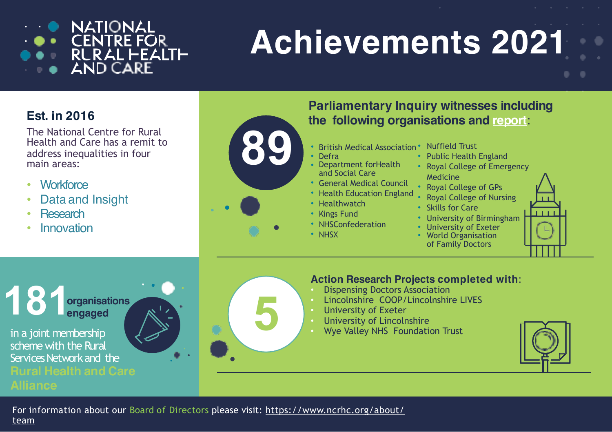

# **Achievements 2021**

### **Est. in 2016**

The National Centre for Rural Health and Care has a remit to address inequalities in four main areas:

- Workforce
- Data and Insight
- Research

**181**

**Innovation** 



- Kings Fund
- NHSConfederation
- NHSX

**5**

- - Public Health England
	- Royal College of Emergency
	- Royal College of GPs
	- Royal College of Nursing
	- Skills for Care
	- University of Birmingham
	- University of Exeter • World Organisation of Family Doctors



#### **Action Research Projects completed with**:

- Dispensing Doctors Association
- Lincolnshire COOP/Lincolnshire LIVES
- University of Exeter
- University of Lincolnshire
- Wye Valley NHS Foundation Trust



in a joint membership scheme with the Rural Services Network and the **Rural Health and Care**

**engaged**